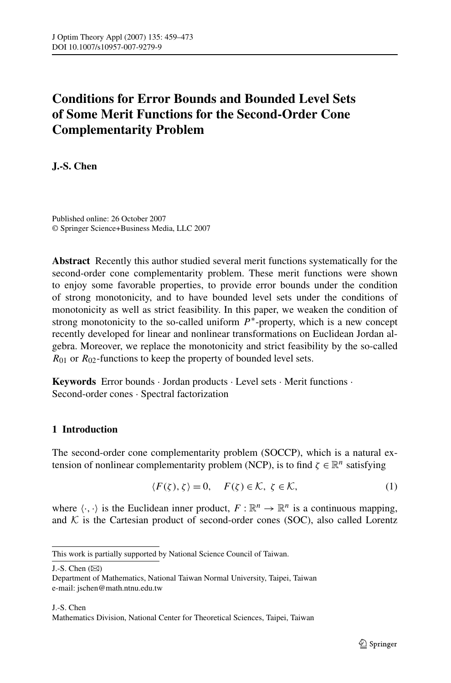# <span id="page-0-0"></span>**Conditions for Error Bounds and Bounded Level Sets of Some Merit Functions for the Second-Order Cone Complementarity Problem**

**J.-S. Chen**

Published online: 26 October 2007 © Springer Science+Business Media, LLC 2007

**Abstract** Recently this author studied several merit functions systematically for the second-order cone complementarity problem. These merit functions were shown to enjoy some favorable properties, to provide error bounds under the condition of strong monotonicity, and to have bounded level sets under the conditions of monotonicity as well as strict feasibility. In this paper, we weaken the condition of strong monotonicity to the so-called uniform *P*∗-property, which is a new concept recently developed for linear and nonlinear transformations on Euclidean Jordan algebra. Moreover, we replace the monotonicity and strict feasibility by the so-called *R*<sub>01</sub> or *R*<sub>02</sub>-functions to keep the property of bounded level sets.

**Keywords** Error bounds · Jordan products · Level sets · Merit functions · Second-order cones · Spectral factorization

## **1 Introduction**

The second-order cone complementarity problem (SOCCP), which is a natural extension of nonlinear complementarity problem (NCP), is to find  $\zeta \in \mathbb{R}^n$  satisfying

$$
\langle F(\zeta), \zeta \rangle = 0, \quad F(\zeta) \in \mathcal{K}, \ \zeta \in \mathcal{K}, \tag{1}
$$

where  $\langle \cdot, \cdot \rangle$  is the Euclidean inner product,  $F : \mathbb{R}^n \to \mathbb{R}^n$  is a continuous mapping, and  $K$  is the Cartesian product of second-order cones (SOC), also called Lorentz

This work is partially supported by National Science Council of Taiwan.

J.-S. Chen  $(\boxtimes)$ 

Department of Mathematics, National Taiwan Normal University, Taipei, Taiwan e-mail: jschen@math.ntnu.edu.tw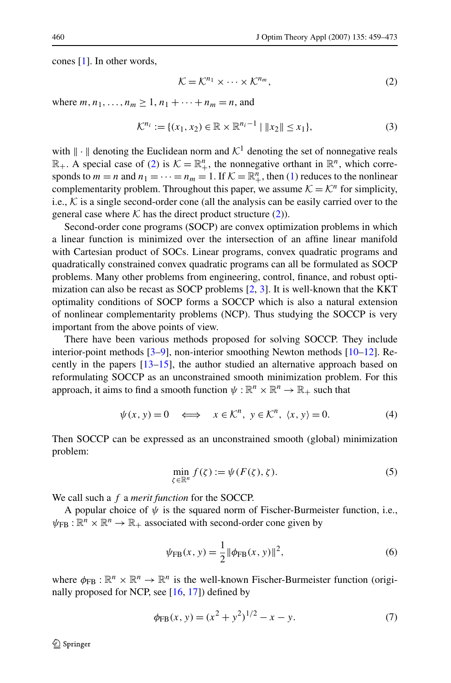<span id="page-1-0"></span>cones [\[1](#page-13-0)]. In other words,

$$
\mathcal{K} = \mathcal{K}^{n_1} \times \dots \times \mathcal{K}^{n_m},\tag{2}
$$

where  $m, n_1, ..., n_m \ge 1, n_1 + ... + n_m = n$ , and

$$
\mathcal{K}^{n_i} := \{ (x_1, x_2) \in \mathbb{R} \times \mathbb{R}^{n_i - 1} \mid \|x_2\| \le x_1 \},\tag{3}
$$

with  $\|\cdot\|$  denoting the Euclidean norm and  $\mathcal{K}^1$  denoting the set of nonnegative reals  $\mathbb{R}_+$ . A special case of (2) is  $\mathcal{K} = \mathbb{R}_+^n$ , the nonnegative orthant in  $\mathbb{R}^n$ , which corresponds to  $m = n$  and  $n_1 = \cdots = n_m = 1$ . If  $K = \mathbb{R}^n_+$ , then ([1\)](#page-0-0) reduces to the nonlinear complementarity problem. Throughout this paper, we assume  $K = K^n$  for simplicity, i.e.,  $K$  is a single second-order cone (all the analysis can be easily carried over to the general case where  $K$  has the direct product structure (2)).

Second-order cone programs (SOCP) are convex optimization problems in which a linear function is minimized over the intersection of an affine linear manifold with Cartesian product of SOCs. Linear programs, convex quadratic programs and quadratically constrained convex quadratic programs can all be formulated as SOCP problems. Many other problems from engineering, control, finance, and robust optimization can also be recast as SOCP problems [\[2](#page-13-0), [3](#page-13-0)]. It is well-known that the KKT optimality conditions of SOCP forms a SOCCP which is also a natural extension of nonlinear complementarity problems (NCP). Thus studying the SOCCP is very important from the above points of view.

There have been various methods proposed for solving SOCCP. They include interior-point methods [[3–9](#page-13-0)], non-interior smoothing Newton methods [[10–12\]](#page-13-0). Recently in the papers [[13–15\]](#page-14-0), the author studied an alternative approach based on reformulating SOCCP as an unconstrained smooth minimization problem. For this approach, it aims to find a smooth function  $\psi : \mathbb{R}^n \times \mathbb{R}^n \to \mathbb{R}_+$  such that

$$
\psi(x, y) = 0 \iff x \in \mathcal{K}^n, y \in \mathcal{K}^n, \langle x, y \rangle = 0.
$$
\n(4)

Then SOCCP can be expressed as an unconstrained smooth (global) minimization problem:

$$
\min_{\zeta \in \mathbb{R}^n} f(\zeta) := \psi(F(\zeta), \zeta). \tag{5}
$$

We call such a *f* a *merit function* for the SOCCP.

A popular choice of  $\psi$  is the squared norm of Fischer-Burmeister function, i.e.,  $\psi_{\text{FB}} : \mathbb{R}^n \times \mathbb{R}^n \to \mathbb{R}_+$  associated with second-order cone given by

$$
\psi_{\rm FB}(x, y) = \frac{1}{2} ||\phi_{\rm FB}(x, y)||^2, \tag{6}
$$

where  $\phi_{FB} : \mathbb{R}^n \times \mathbb{R}^n \to \mathbb{R}^n$  is the well-known Fischer-Burmeister function (originally proposed for NCP, see [\[16](#page-14-0), [17](#page-14-0)]) defined by

$$
\phi_{\text{FB}}(x, y) = (x^2 + y^2)^{1/2} - x - y.
$$
\n(7)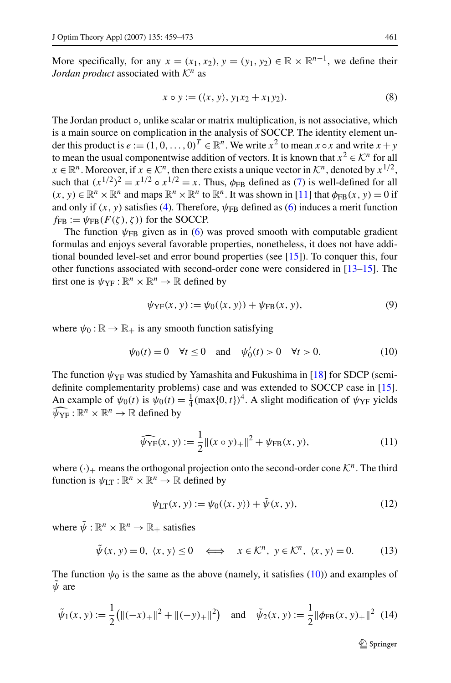<span id="page-2-0"></span>More specifically, for any  $x = (x_1, x_2), y = (y_1, y_2) \in \mathbb{R} \times \mathbb{R}^{n-1}$ , we define their *Jordan product* associated with  $K^n$  as

$$
x \circ y := (\langle x, y \rangle, y_1 x_2 + x_1 y_2). \tag{8}
$$

The Jordan product ∘, unlike scalar or matrix multiplication, is not associative, which is a main source on complication in the analysis of SOCCP. The identity element under this product is  $e := (1, 0, \ldots, 0)^T \in \mathbb{R}^n$ . We write  $x^2$  to mean  $x \circ x$  and write  $x + y$ to mean the usual componentwise addition of vectors. It is known that  $x^2 \in \mathcal{K}^n$  for all  $x \in \mathbb{R}^n$ . Moreover, if  $x \in \mathcal{K}^n$ , then there exists a unique vector in  $\mathcal{K}^n$ , denoted by  $x^{1/2}$ , such that  $(x^{1/2})^2 = x^{1/2} \circ x^{1/2} = x$ . Thus,  $\phi_{FR}$  defined as [\(7](#page-1-0)) is well-defined for all  $(x, y) \in \mathbb{R}^n \times \mathbb{R}^n$  and maps  $\mathbb{R}^n \times \mathbb{R}^n$  to  $\mathbb{R}^n$ . It was shown in [[11\]](#page-13-0) that  $\phi_{FB}(x, y) = 0$  if and only if  $(x, y)$  satisfies ([4\)](#page-1-0). Therefore,  $\psi_{FB}$  defined as ([6\)](#page-1-0) induces a merit function  $f_{FR} := \psi_{FR}(F(\zeta), \zeta)$  for the SOCCP.

The function  $\psi_{FB}$  given as in ([6\)](#page-1-0) was proved smooth with computable gradient formulas and enjoys several favorable properties, nonetheless, it does not have additional bounded level-set and error bound properties (see [\[15](#page-14-0)]). To conquer this, four other functions associated with second-order cone were considered in [\[13–15](#page-14-0)]. The first one is  $\psi_{\text{YF}} : \mathbb{R}^n \times \mathbb{R}^n \to \mathbb{R}$  defined by

$$
\psi_{\text{YF}}(x, y) := \psi_0(\langle x, y \rangle) + \psi_{\text{FB}}(x, y), \tag{9}
$$

where  $\psi_0 : \mathbb{R} \to \mathbb{R}_+$  is any smooth function satisfying

$$
\psi_0(t) = 0 \quad \forall t \le 0 \quad \text{and} \quad \psi'_0(t) > 0 \quad \forall t > 0.
$$
 (10)

The function  $\psi_{\text{YF}}$  was studied by Yamashita and Fukushima in [\[18](#page-14-0)] for SDCP (semidefinite complementarity problems) case and was extended to SOCCP case in [[15\]](#page-14-0). An example of  $\psi_0(t)$  is  $\psi_0(t) = \frac{1}{4} (\max\{0, t\})^4$ . A slight modification of  $\psi_{\text{YF}}$  yields  $\widehat{\psi}_{\text{YF}} : \mathbb{R}^n \times \mathbb{R}^n \to \mathbb{R}$  defined by

$$
\widehat{\psi_{\text{YF}}}(x, y) := \frac{1}{2} ||(x \circ y)_{+}||^{2} + \psi_{\text{FB}}(x, y), \tag{11}
$$

where  $(\cdot)_+$  means the orthogonal projection onto the second-order cone  $\mathcal{K}^n$ . The third function is  $\psi_{LT} : \mathbb{R}^n \times \mathbb{R}^n \to \mathbb{R}$  defined by

$$
\psi_{LT}(x, y) := \psi_0(\langle x, y \rangle) + \tilde{\psi}(x, y), \tag{12}
$$

where  $\tilde{\psi}: \mathbb{R}^n \times \mathbb{R}^n \to \mathbb{R}_+$  satisfies

$$
\tilde{\psi}(x, y) = 0, \ \langle x, y \rangle \le 0 \quad \Longleftrightarrow \quad x \in \mathcal{K}^n, \ y \in \mathcal{K}^n, \ \langle x, y \rangle = 0. \tag{13}
$$

The function  $\psi_0$  is the same as the above (namely, it satisfies (10)) and examples of *ψ*˜ are

$$
\tilde{\psi}_1(x, y) := \frac{1}{2} \big( \|(-x)_{+}\|^2 + \|(-y)_{+}\|^2 \big) \quad \text{and} \quad \tilde{\psi}_2(x, y) := \frac{1}{2} \| \phi_{\text{FB}}(x, y)_{+} \|^2 \tag{14}
$$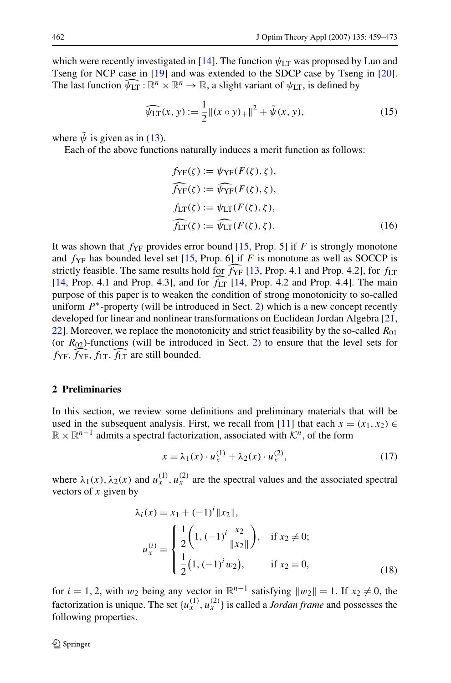<span id="page-3-0"></span>which were recently investigated in [\[14](#page-14-0)]. The function  $\psi_{LT}$  was proposed by Luo and Tseng for NCP case in [\[19](#page-14-0)] and was extended to the SDCP case by Tseng in [[20\]](#page-14-0). The last function  $\widehat{\psi_{LT}} : \mathbb{R}^n \times \mathbb{R}^n \to \mathbb{R}$ , a slight variant of  $\psi_{LT}$ , is defined by

$$
\widehat{\psi_{LT}}(x, y) := \frac{1}{2} ||(x \circ y)_{+}||^{2} + \tilde{\psi}(x, y), \qquad (15)
$$

where  $\tilde{\psi}$  is given as in ([13\)](#page-2-0).

Each of the above functions naturally induces a merit function as follows:

$$
f_{\text{YF}}(\zeta) := \psi_{\text{YF}}(F(\zeta), \zeta),
$$
  
\n
$$
\widehat{f_{\text{YF}}}(\zeta) := \widehat{\psi_{\text{YF}}}(F(\zeta), \zeta),
$$
  
\n
$$
f_{\text{LT}}(\zeta) := \psi_{\text{LT}}(F(\zeta), \zeta),
$$
  
\n
$$
\widehat{f_{\text{LT}}}(\zeta) := \widehat{\psi_{\text{LT}}}(F(\zeta), \zeta).
$$
\n(16)

It was shown that  $f_{YF}$  provides error bound [[15,](#page-14-0) Prop. 5] if *F* is strongly monotone and  $f_{\text{YF}}$  has bounded level set [[15,](#page-14-0) Prop. 6] if *F* is monotone as well as SOCCP is strictly feasible. The same results hold for  $f_{YF}$  [\[13](#page-14-0), Prop. 4.1 and Prop. 4.2], for  $f_{LT}$  $[14,$  $[14,$  Prop. 4.1 and Prop. 4.3], and for  $f_{LT}$  [14, Prop. 4.2 and Prop. 4.4]. The main purpose of this paper is to weaken the condition of strong monotonicity to so-called uniform *P*∗-property (will be introduced in Sect. 2) which is a new concept recently developed for linear and nonlinear transformations on Euclidean Jordan Algebra [\[21](#page-14-0), [22\]](#page-14-0). Moreover, we replace the monotonicity and strict feasibility by the so-called  $R_{01}$ (or  $R_{02}$ )-functions (will be introduced in Sect. 2) to ensure that the level sets for *f*<sub>YF</sub>, *f*<sub>LT</sub>, *f*<sub>LT</sub> are still bounded.

### **2 Preliminaries**

In this section, we review some definitions and preliminary materials that will be used in the subsequent analysis. First, we recall from [[11\]](#page-13-0) that each  $x = (x_1, x_2) \in$ R × R*n*−<sup>1</sup> admits a spectral factorization, associated with K*n*, of the form

$$
x = \lambda_1(x) \cdot u_x^{(1)} + \lambda_2(x) \cdot u_x^{(2)},
$$
\n(17)

where  $\lambda_1(x)$ ,  $\lambda_2(x)$  and  $u_x^{(1)}$ ,  $u_x^{(2)}$  are the spectral values and the associated spectral vectors of *x* given by

$$
\lambda_i(x) = x_1 + (-1)^i \|x_2\|,
$$
  
\n
$$
u_x^{(i)} = \begin{cases} \frac{1}{2} \left( 1, (-1)^i \frac{x_2}{\|x_2\|} \right), & \text{if } x_2 \neq 0; \\ \frac{1}{2} (1, (-1)^i w_2), & \text{if } x_2 = 0, \end{cases}
$$
\n(18)

for  $i = 1, 2$ , with  $w_2$  being any vector in  $\mathbb{R}^{n-1}$  satisfying  $||w_2|| = 1$ . If  $x_2 \neq 0$ , the factorization is unique. The set  $\{u_x^{(1)}, u_x^{(2)}\}$  is called a *Jordan frame* and possesses the following properties.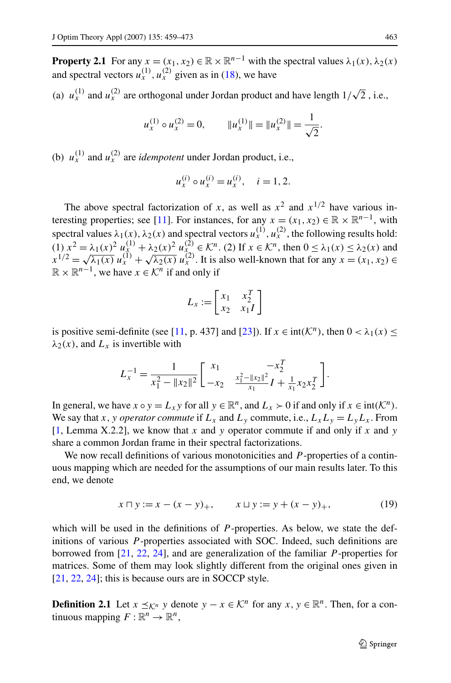<span id="page-4-0"></span>**Property 2.1** For any  $x = (x_1, x_2) \in \mathbb{R} \times \mathbb{R}^{n-1}$  with the spectral values  $\lambda_1(x), \lambda_2(x)$ and spectral vectors  $u_x^{(1)}$ ,  $u_y^{(2)}$  given as in [\(18](#page-3-0)), we have

(a)  $u_x^{(1)}$  and  $u_x^{(2)}$  are orthogonal under Jordan product and have length  $1/\sqrt{2}$ , i.e.,

$$
u_x^{(1)} \circ u_x^{(2)} = 0,
$$
  $||u_x^{(1)}|| = ||u_x^{(2)}|| = \frac{1}{\sqrt{2}}.$ 

(b)  $u_x^{(1)}$  and  $u_x^{(2)}$  are *idempotent* under Jordan product, i.e.,

$$
u_x^{(i)} \circ u_x^{(i)} = u_x^{(i)}, \quad i = 1, 2.
$$

The above spectral factorization of *x*, as well as  $x^2$  and  $x^{1/2}$  have various in-teresting properties; see [\[11](#page-13-0)]. For instances, for any  $x = (x_1, x_2) \in \mathbb{R} \times \mathbb{R}^{n-1}$ , with spectral values  $\lambda_1(x)$ ,  $\lambda_2(x)$  and spectral vectors  $u_x^{(1)}$ ,  $u_x^{(2)}$ , the following results hold:  $(1)$   $x^2 = \lambda_1(x)^2 u_x^{(1)} + \lambda_2(x)^2 u_{x_\infty}^{(2)} \in \mathcal{K}^n$ . (2) If  $x \in \mathcal{K}^n$ , then  $0 \le \lambda_1(x) \le \lambda_2(x)$  and  $x^{1/2} = \sqrt{\lambda_1(x)} u_x^{(1)} + \sqrt{\lambda_2(x)} u_x^{(2)}$ . It is also well-known that for any  $x = (x_1, x_2) \in$  $\mathbb{R} \times \mathbb{R}^{n-1}$ , we have  $x \in \mathcal{K}^n$  if and only if

$$
L_x := \begin{bmatrix} x_1 & x_2^T \\ x_2 & x_1 I \end{bmatrix}
$$

is positive semi-definite (see [\[11](#page-13-0), p. 437] and [\[23](#page-14-0)]). If  $x \in \text{int}(\mathcal{K}^n)$ , then  $0 < \lambda_1(x)$  $\lambda_2(x)$ , and  $L_x$  is invertible with

$$
L_x^{-1} = \frac{1}{x_1^2 - ||x_2||^2} \begin{bmatrix} x_1 & -x_2^T \\ -x_2 & \frac{x_1^2 - ||x_2||^2}{x_1} I + \frac{1}{x_1} x_2 x_2^T \end{bmatrix}.
$$

In general, we have  $x \circ y = L_x y$  for all  $y \in \mathbb{R}^n$ , and  $L_x > 0$  if and only if  $x \in \text{int}(\mathcal{K}^n)$ . We say that *x*, *y operator commute* if  $L_x$  and  $L_y$  commute, i.e.,  $L_x L_y = L_y L_x$ . From [\[1](#page-13-0), Lemma X.2.2], we know that *x* and *y* operator commute if and only if *x* and *y* share a common Jordan frame in their spectral factorizations.

We now recall definitions of various monotonicities and *P* -properties of a continuous mapping which are needed for the assumptions of our main results later. To this end, we denote

$$
x \sqcap y := x - (x - y)_+, \qquad x \sqcup y := y + (x - y)_+, \tag{19}
$$

which will be used in the definitions of *P*-properties. As below, we state the definitions of various *P* -properties associated with SOC. Indeed, such definitions are borrowed from [[21,](#page-14-0) [22](#page-14-0), [24\]](#page-14-0), and are generalization of the familiar *P* -properties for matrices. Some of them may look slightly different from the original ones given in [\[21](#page-14-0), [22](#page-14-0), [24\]](#page-14-0); this is because ours are in SOCCP style.

**Definition 2.1** Let  $x \prec_{\mathcal{K}^n} y$  denote  $y - x \in \mathcal{K}^n$  for any  $x, y \in \mathbb{R}^n$ . Then, for a continuous mapping  $F: \mathbb{R}^n \to \mathbb{R}^n$ ,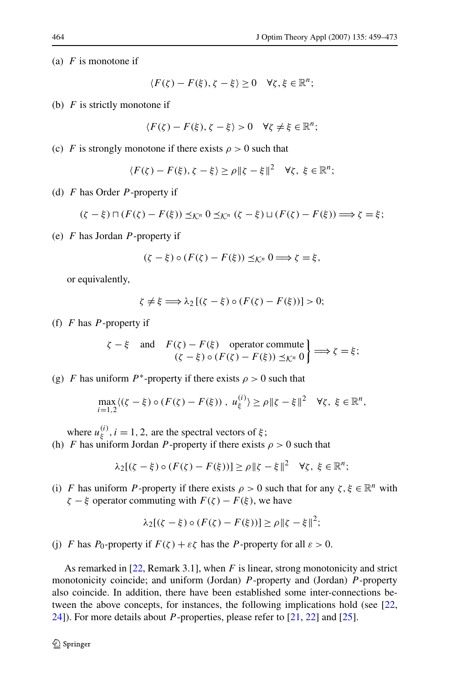(a) *F* is monotone if

$$
\langle F(\zeta) - F(\xi), \zeta - \xi \rangle \ge 0 \quad \forall \zeta, \xi \in \mathbb{R}^n;
$$

(b) *F* is strictly monotone if

$$
\langle F(\zeta) - F(\xi), \zeta - \xi \rangle > 0 \quad \forall \zeta \neq \xi \in \mathbb{R}^n;
$$

(c) *F* is strongly monotone if there exists  $\rho > 0$  such that

$$
\langle F(\zeta) - F(\xi), \zeta - \xi \rangle \ge \rho \|\zeta - \xi\|^2 \quad \forall \zeta, \ \xi \in \mathbb{R}^n;
$$

(d) *F* has Order *P* -property if

$$
(\zeta - \xi) \sqcap (F(\zeta) - F(\xi)) \preceq_{\mathcal{K}^n} 0 \preceq_{\mathcal{K}^n} (\zeta - \xi) \sqcup (F(\zeta) - F(\xi)) \Longrightarrow \zeta = \xi;
$$

(e) *F* has Jordan *P* -property if

$$
(\zeta - \xi) \circ (F(\zeta) - F(\xi)) \preceq_{\mathcal{K}^n} 0 \Longrightarrow \zeta = \xi,
$$

or equivalently,

$$
\zeta \neq \xi \Longrightarrow \lambda_2 [(\zeta - \xi) \circ (F(\zeta) - F(\xi))] > 0;
$$

(f) *F* has *P* -property if

$$
\zeta - \xi \quad \text{and} \quad F(\zeta) - F(\xi) \quad \text{operator commute} \atop (\zeta - \xi) \circ (F(\zeta) - F(\xi)) \preceq_{\mathcal{K}^n} 0 \right\} \Longrightarrow \zeta = \xi;
$$

(g) *F* has uniform *P*<sup>\*</sup>-property if there exists  $\rho > 0$  such that

$$
\max_{i=1,2} \langle (\zeta - \xi) \circ (F(\zeta) - F(\xi)) , u_{\xi}^{(i)} \rangle \ge \rho \| \zeta - \xi \|^2 \quad \forall \zeta, \ \xi \in \mathbb{R}^n,
$$

where  $u_{\xi}^{(i)}$ ,  $i = 1, 2$ , are the spectral vectors of  $\xi$ ;

(h) *F* has uniform Jordan *P*-property if there exists  $\rho > 0$  such that

$$
\lambda_2[(\zeta-\xi)\circ(F(\zeta)-F(\xi))] \ge \rho \|\zeta-\xi\|^2 \quad \forall \zeta, \ \xi \in \mathbb{R}^n;
$$

(i) *F* has uniform *P*-property if there exists  $\rho > 0$  such that for any  $\zeta, \xi \in \mathbb{R}^n$  with *ζ* − *ξ* operator commuting with  $F(ζ) - F(ξ)$ , we have

$$
\lambda_2[(\zeta - \xi) \circ (F(\zeta) - F(\xi))] \ge \rho \|\zeta - \xi\|^2;
$$

(j) *F* has *P*<sub>0</sub>-property if  $F(\zeta) + \varepsilon \zeta$  has the *P*-property for all  $\varepsilon > 0$ .

As remarked in [\[22](#page-14-0), Remark 3.1], when *F* is linear, strong monotonicity and strict monotonicity coincide; and uniform (Jordan) *P* -property and (Jordan) *P* -property also coincide. In addition, there have been established some inter-connections between the above concepts, for instances, the following implications hold (see [\[22](#page-14-0), [24\]](#page-14-0)). For more details about *P* -properties, please refer to [\[21,](#page-14-0) [22\]](#page-14-0) and [[25\]](#page-14-0).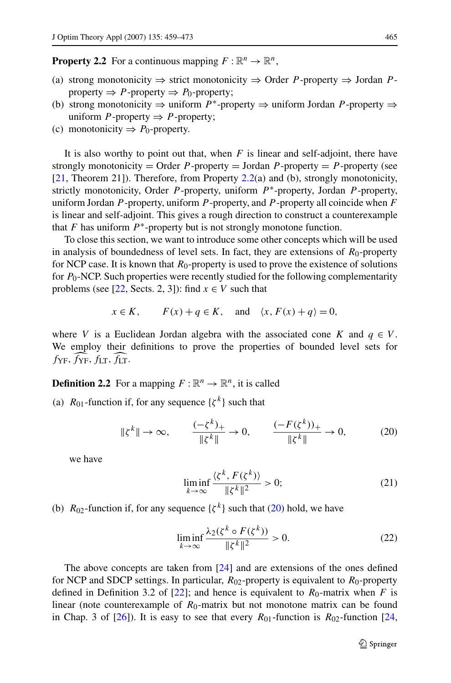<span id="page-6-0"></span>**Property 2.2** For a continuous mapping  $F: \mathbb{R}^n \to \mathbb{R}^n$ ,

- (a) strong monotonicity ⇒ strict monotonicity ⇒ Order *P* -property ⇒ Jordan *P* property  $\Rightarrow$  *P*-property  $\Rightarrow$  *P*<sub>0</sub>-property;
- (b) strong monotonicity ⇒ uniform *P*∗-property ⇒ uniform Jordan *P* -property ⇒ uniform *P* -property  $\Rightarrow$  *P* -property;
- (c) monotonicity  $\Rightarrow$  *P*<sub>0</sub>-property.

It is also worthy to point out that, when *F* is linear and self-adjoint, there have strongly monotonicity = Order  $P$ -property = Jordan  $P$ -property =  $P$ -property (see [\[21](#page-14-0), Theorem 21]). Therefore, from Property 2.2(a) and (b), strongly monotonicity, strictly monotonicity, Order *P* -property, uniform *P*∗-property, Jordan *P* -property, uniform Jordan *P* -property, uniform *P* -property, and *P* -property all coincide when *F* is linear and self-adjoint. This gives a rough direction to construct a counterexample that  $F$  has uniform  $P^*$ -property but is not strongly monotone function.

To close this section, we want to introduce some other concepts which will be used in analysis of boundedness of level sets. In fact, they are extensions of  $R_0$ -property for NCP case. It is known that *R*<sub>0</sub>-property is used to prove the existence of solutions for *P*0-NCP. Such properties were recently studied for the following complementarity problems (see [\[22](#page-14-0), Sects. 2, 3]): find  $x \in V$  such that

$$
x \in K
$$
,  $F(x) + q \in K$ , and  $\langle x, F(x) + q \rangle = 0$ ,

where *V* is a Euclidean Jordan algebra with the associated cone *K* and  $q \in V$ . We employ their definitions to prove the properties of bounded level sets for  $f_{\text{YF}}$ *,*  $f_{\text{YF}}$ *,*  $f_{\text{LT}}$ *,*  $f_{\text{LT}}$ *.* 

**Definition 2.2** For a mapping  $F : \mathbb{R}^n \to \mathbb{R}^n$ , it is called

(a)  $R_{01}$ -function if, for any sequence  $\{\zeta^k\}$  such that

$$
\|\xi^{k}\| \to \infty, \qquad \frac{(-\xi^{k})_{+}}{\|\xi^{k}\|} \to 0, \qquad \frac{(-F(\xi^{k}))_{+}}{\|\xi^{k}\|} \to 0, \tag{20}
$$

we have

$$
\liminf_{k \to \infty} \frac{\langle \zeta^k, F(\zeta^k) \rangle}{\|\zeta^k\|^2} > 0; \tag{21}
$$

(b)  $R_{02}$ -function if, for any sequence  $\{\zeta^k\}$  such that (20) hold, we have

$$
\liminf_{k \to \infty} \frac{\lambda_2(\zeta^k \circ F(\zeta^k))}{\|\zeta^k\|^2} > 0. \tag{22}
$$

The above concepts are taken from [[24\]](#page-14-0) and are extensions of the ones defined for NCP and SDCP settings. In particular,  $R_{02}$ -property is equivalent to  $R_0$ -property defined in Definition 3.2 of [[22\]](#page-14-0); and hence is equivalent to  $R_0$ -matrix when *F* is linear (note counterexample of *R*<sub>0</sub>-matrix but not monotone matrix can be found in Chap. 3 of [[26\]](#page-14-0)). It is easy to see that every  $R_{01}$ -function is  $R_{02}$ -function [\[24](#page-14-0),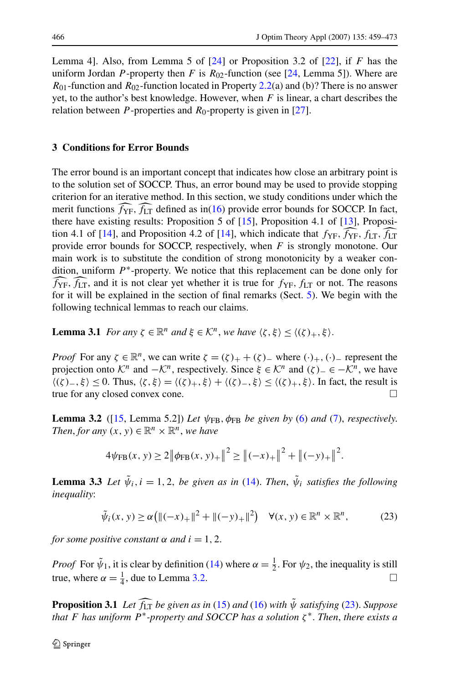<span id="page-7-0"></span>Lemma 4]. Also, from Lemma 5 of [\[24](#page-14-0)] or Proposition 3.2 of [\[22](#page-14-0)], if *F* has the uniform Jordan *P*-property then *F* is  $R_{02}$ -function (see [\[24](#page-14-0), Lemma 5]). Where are  $R_{01}$ -function and  $R_{02}$ -function located in Property [2.2\(](#page-6-0)a) and (b)? There is no answer yet, to the author's best knowledge. However, when *F* is linear, a chart describes the relation between *P*-properties and  $R_0$ -property is given in [[27\]](#page-14-0).

## **3 Conditions for Error Bounds**

The error bound is an important concept that indicates how close an arbitrary point is to the solution set of SOCCP. Thus, an error bound may be used to provide stopping criterion for an iterative method. In this section, we study conditions under which the merit functions *f* YF*, f* LT defined as in[\(16](#page-3-0)) provide error bounds for SOCCP. In fact, there have existing results: Proposition 5 of  $[15]$  $[15]$ , Proposition 4.1 of  $[13]$  $[13]$ , Proposi-tion 4.1 of [\[14](#page-14-0)], and Proposition 4.2 of [[14\]](#page-14-0), which indicate that  $f_{YF}, f_{YF}, f_{LT}, f_{LT}$ provide error bounds for SOCCP, respectively, when *F* is strongly monotone. Our main work is to substitute the condition of strong monotonicity by a weaker condition, uniform *P*∗-property. We notice that this replacement can be done only for  $f_{\text{YF}}$ ,  $f_{\text{LT}}$ , and it is not clear yet whether it is true for  $f_{\text{YF}}$ ,  $f_{\text{LT}}$  or not. The reasons for it will be explained in the section of final remarks (Sect. [5](#page-12-0)). We begin with the following technical lemmas to reach our claims.

**Lemma 3.1** *For any*  $\zeta \in \mathbb{R}^n$  *and*  $\xi \in \mathcal{K}^n$ *, we have*  $\langle \zeta, \xi \rangle \leq \langle (\zeta)_+, \xi \rangle$ *.* 

*Proof* For any  $\zeta \in \mathbb{R}^n$ , we can write  $\zeta = (\zeta)_+ + (\zeta)_-$  where  $(\cdot)_+, (\cdot)_-$  represent the projection onto  $K^n$  and  $-K^n$ , respectively. Since  $\xi \in K^n$  and  $(\zeta)$ <sub>−</sub> ∈ − $K^n$ , we have  $\langle (\zeta)_-, \xi \rangle$  ≤ 0. Thus,  $\langle \zeta, \xi \rangle = \langle (\zeta)_+, \xi \rangle + \langle (\zeta)_-, \xi \rangle$  ≤  $\langle (\zeta)_+, \xi \rangle$ . In fact, the result is true for any closed convex cone.

**Lemma 3.2** ([[15,](#page-14-0) Lemma 5.2]) Let  $\psi_{FB}$ ,  $\phi_{FB}$  be given by ([6\)](#page-1-0) and ([7\)](#page-1-0), *respectively*. *Then, for any*  $(x, y) \in \mathbb{R}^n \times \mathbb{R}^n$ *, we have* 

$$
4\psi_{\text{FB}}(x, y) \ge 2\|\phi_{\text{FB}}(x, y)_{+}\|^2 \ge \left\|(-x)_{+}\right\|^2 + \left\|(-y)_{+}\right\|^2.
$$

**Lemma 3.3** *Let*  $\tilde{\psi}_i$ ,  $i = 1, 2$ , *be given as in* ([14\)](#page-2-0). *Then*,  $\tilde{\psi}_i$  *satisfies the following inequality*:

$$
\tilde{\psi}_i(x, y) \ge \alpha \left( \|(-x)_{+}\|^2 + \|(-y)_{+}\|^2 \right) \quad \forall (x, y) \in \mathbb{R}^n \times \mathbb{R}^n,
$$
\n(23)

*for some positive constant*  $\alpha$  *and*  $i = 1, 2$ .

*Proof* For  $\tilde{\psi}_1$ , it is clear by definition [\(14](#page-2-0)) where  $\alpha = \frac{1}{2}$ . For  $\psi_2$ , the inequality is still true, where  $\alpha = \frac{1}{4}$ , due to Lemma 3.2.

**Proposition 3.1** *Let f* LT *be given as in* [\(15](#page-3-0)) *and* [\(16](#page-3-0)) *with ψ*˜ *satisfying* (23). *Suppose* -*that F has uniform P*∗*-property and SOCCP has a solution ζ* <sup>∗</sup>. *Then*, *there exists a*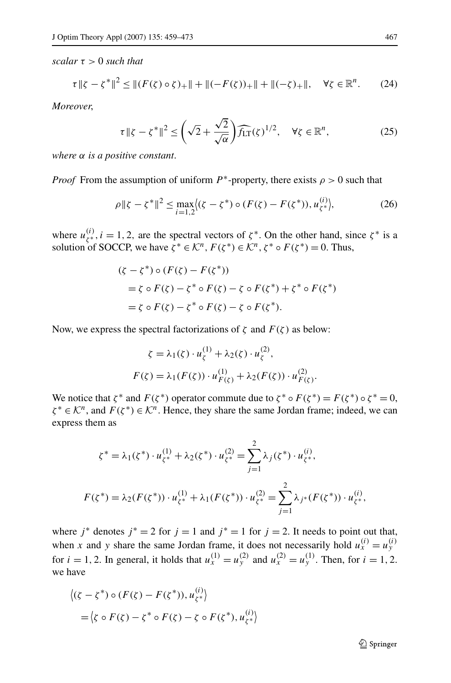<span id="page-8-0"></span>*scalar τ >* 0 *such that*

$$
\tau \|\zeta - \zeta^*\|^2 \le \| (F(\zeta) \circ \zeta)_+\| + \| (-F(\zeta))_+\| + \| (-\zeta)_+\|, \quad \forall \zeta \in \mathbb{R}^n. \tag{24}
$$

*Moreover*,

$$
\tau \|\zeta - \zeta^*\|^2 \le \left(\sqrt{2} + \frac{\sqrt{2}}{\sqrt{\alpha}}\right) \widehat{f_{LT}}(\zeta)^{1/2}, \quad \forall \zeta \in \mathbb{R}^n,
$$
 (25)

*where α is a positive constant*.

*Proof* From the assumption of uniform  $P^*$ -property, there exists  $\rho > 0$  such that

$$
\rho \| \zeta - \zeta^* \|^2 \le \max_{i=1,2} \langle (\zeta - \zeta^*) \circ (F(\zeta) - F(\zeta^*)), u_{\zeta^*}^{(i)} \rangle, \tag{26}
$$

where  $u_{\zeta^*}^{(i)}$ ,  $i = 1, 2$ , are the spectral vectors of  $\zeta^*$ . On the other hand, since  $\zeta^*$  is a solution of SOCCP, we have  $\zeta^* \in \mathcal{K}^n$ ,  $F(\zeta^*) \in \mathcal{K}^n$ ,  $\zeta^* \circ F(\zeta^*) = 0$ . Thus,

$$
(\zeta - \zeta^*) \circ (F(\zeta) - F(\zeta^*))
$$
  
=  $\zeta \circ F(\zeta) - \zeta^* \circ F(\zeta) - \zeta \circ F(\zeta^*) + \zeta^* \circ F(\zeta^*)$   
=  $\zeta \circ F(\zeta) - \zeta^* \circ F(\zeta) - \zeta \circ F(\zeta^*).$ 

Now, we express the spectral factorizations of  $\zeta$  and  $F(\zeta)$  as below:

$$
\zeta = \lambda_1(\zeta) \cdot u_{\zeta}^{(1)} + \lambda_2(\zeta) \cdot u_{\zeta}^{(2)},
$$
  

$$
F(\zeta) = \lambda_1(F(\zeta)) \cdot u_{F(\zeta)}^{(1)} + \lambda_2(F(\zeta)) \cdot u_{F(\zeta)}^{(2)}.
$$

We notice that  $\zeta^*$  and  $F(\zeta^*)$  operator commute due to  $\zeta^* \circ F(\zeta^*) = F(\zeta^*) \circ \zeta^* = 0$ ,  $\zeta^* \in \mathcal{K}^n$ , and  $F(\zeta^*) \in \mathcal{K}^n$ . Hence, they share the same Jordan frame; indeed, we can express them as

$$
\zeta^* = \lambda_1(\zeta^*) \cdot u_{\zeta^*}^{(1)} + \lambda_2(\zeta^*) \cdot u_{\zeta^*}^{(2)} = \sum_{j=1}^2 \lambda_j(\zeta^*) \cdot u_{\zeta^*}^{(i)},
$$
  

$$
F(\zeta^*) = \lambda_2(F(\zeta^*)) \cdot u_{\zeta^*}^{(1)} + \lambda_1(F(\zeta^*)) \cdot u_{\zeta^*}^{(2)} = \sum_{j=1}^2 \lambda_j^*(F(\zeta^*)) \cdot u_{\zeta^*}^{(i)},
$$

where  $j^*$  denotes  $j^* = 2$  for  $j = 1$  and  $j^* = 1$  for  $j = 2$ . It needs to point out that, when *x* and *y* share the same Jordan frame, it does not necessarily hold  $u_x^{(i)} = u_y^{(i)}$ for  $i = 1, 2$ . In general, it holds that  $u_x^{(1)} = u_y^{(2)}$  and  $u_x^{(2)} = u_y^{(1)}$ . Then, for  $i = 1, 2$ . we have

$$
\langle (\zeta - \zeta^*) \circ (F(\zeta) - F(\zeta^*)), u_{\zeta^*}^{(i)} \rangle
$$
  
=  $\langle \zeta \circ F(\zeta) - \zeta^* \circ F(\zeta) - \zeta \circ F(\zeta^*), u_{\zeta^*}^{(i)} \rangle$ 

 $\mathcal{D}$  Springer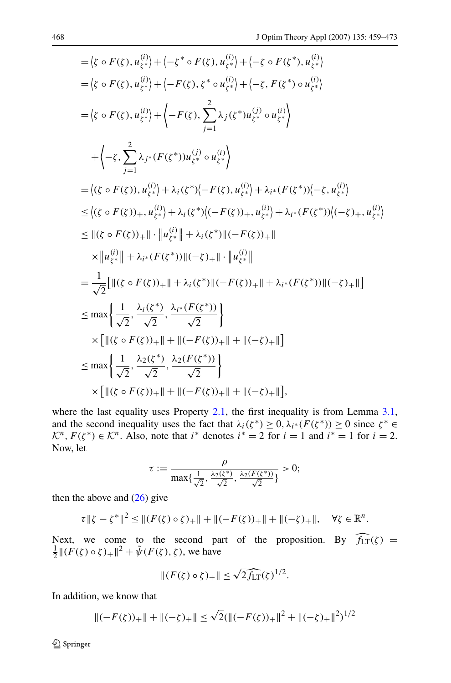$$
= \langle \zeta \circ F(\zeta), u_{\zeta^*}^{(i)} \rangle + \langle -\zeta^* \circ F(\zeta), u_{\zeta^*}^{(i)} \rangle + \langle -\zeta \circ F(\zeta^*), u_{\zeta^*}^{(i)} \rangle
$$
  
\n
$$
= \langle \zeta \circ F(\zeta), u_{\zeta^*}^{(i)} \rangle + \langle -F(\zeta), \zeta^* \circ u_{\zeta^*}^{(i)} \rangle + \langle -\zeta, F(\zeta^*) \circ u_{\zeta^*}^{(i)} \rangle
$$
  
\n
$$
= \langle \zeta \circ F(\zeta), u_{\zeta^*}^{(i)} \rangle + \langle -F(\zeta), \sum_{j=1}^2 \lambda_j (\zeta^*) u_{\zeta^*}^{(j)} \circ u_{\zeta^*}^{(i)} \rangle
$$
  
\n
$$
+ \langle -\zeta, \sum_{j=1}^2 \lambda_{j^*} (F(\zeta^*)) u_{\zeta^*}^{(j)} \circ u_{\zeta^*}^{(i)} \rangle
$$
  
\n
$$
= \langle (\zeta \circ F(\zeta)), u_{\zeta^*}^{(i)} \rangle + \lambda_i (\zeta^*) \langle -F(\zeta), u_{\zeta^*}^{(i)} \rangle + \lambda_{i^*} (F(\zeta^*)) \langle -\zeta, u_{\zeta^*}^{(i)} \rangle
$$
  
\n
$$
\leq \langle (\zeta \circ F(\zeta)), u_{\zeta^*}^{(i)} \rangle + \lambda_i (\zeta^*) \langle (-F(\zeta)), u_{\zeta^*}^{(i)} \rangle + \lambda_{i^*} (F(\zeta^*)) \langle (-\zeta), u_{\zeta^*}^{(i)} \rangle
$$
  
\n
$$
\leq ||(\zeta \circ F(\zeta)) + || \cdot || u_{\zeta^*}^{(i)} || + \lambda_i (\zeta^*) ||(-F(\zeta)) + ||
$$
  
\n
$$
\times || u_{\zeta^*}^{(i)} || + \lambda_{i^*} (F(\zeta^*)) ||(-\zeta) + || \cdot || u_{\zeta^*}^{(i)} ||
$$
  
\n
$$
= \frac{1}{\sqrt{2}} [||(\zeta \circ F(\zeta)) + || + \lambda_i (\zeta^*) ||(-F(\zeta)) + || + \lambda_{i^*} (F(\zeta^
$$

where the last equality uses Property [2.1,](#page-4-0) the first inequality is from Lemma [3.1](#page-7-0), and the second inequality uses the fact that  $\lambda_i(\zeta^*) \geq 0$ ,  $\lambda_{i^*}(F(\zeta^*)) \geq 0$  since  $\zeta^* \in$  $K^n$ ,  $F(\zeta^*) \in \mathcal{K}^n$ . Also, note that *i*<sup>\*</sup> denotes *i*<sup>\*</sup> = 2 for *i* = 1 and *i*<sup>\*</sup> = 1 for *i* = 2. Now, let

$$
\tau := \frac{\rho}{\max\{\frac{1}{\sqrt{2}}, \frac{\lambda_2(\zeta^*)}{\sqrt{2}}, \frac{\lambda_2(F(\zeta^*))}{\sqrt{2}}\}} > 0;
$$

then the above and  $(26)$  $(26)$  give

$$
\tau \|\zeta - \zeta^*\|^2 \leq \|(F(\zeta) \circ \zeta)_+\| + \|(-F(\zeta))_+\| + \|(-\zeta)_+\|, \quad \forall \zeta \in \mathbb{R}^n.
$$

Next, we come to the second part of the proposition. By  $f_{LT}(\zeta) = \frac{1}{2} ||(F(\zeta) \circ \zeta)_+||^2 + \tilde{\psi}(F(\zeta), \zeta)$ , we have

$$
||(F(\zeta)\circ\zeta)_+||\leq\sqrt{2}\widehat{f_{LT}}(\zeta)^{1/2}.
$$

In addition, we know that

$$
\|(-F(\zeta))_+\| + \|(-\zeta)_+\| \le \sqrt{2}(\|(-F(\zeta))_+\|^2 + \|(-\zeta)_+\|^2)^{1/2}
$$

Springer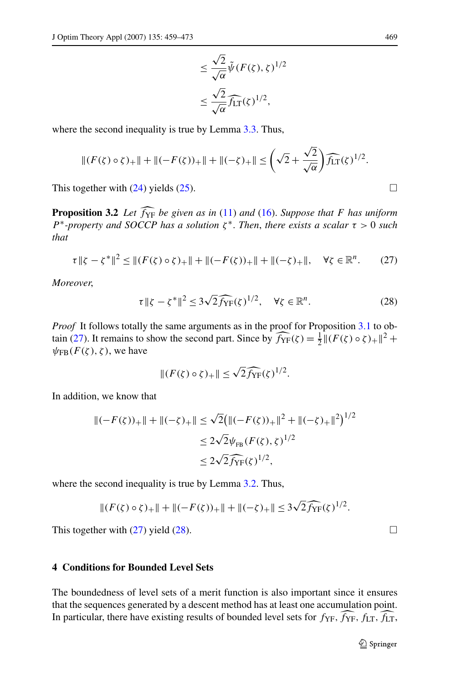$$
\leq \frac{\sqrt{2}}{\sqrt{\alpha}} \tilde{\psi}(F(\zeta), \zeta)^{1/2}
$$

$$
\leq \frac{\sqrt{2}}{\sqrt{\alpha}} \widehat{f_{LT}}(\zeta)^{1/2},
$$

<span id="page-10-0"></span>where the second inequality is true by Lemma [3.3.](#page-7-0) Thus,

$$
||(F(\zeta) \circ \zeta)_+|| + ||(-F(\zeta))_+|| + ||(-\zeta)_+|| \leq \left(\sqrt{2} + \frac{\sqrt{2}}{\sqrt{\alpha}}\right) \widehat{f_{LT}}(\zeta)^{1/2}.
$$

This together with  $(24)$  $(24)$  yields  $(25)$  $(25)$ .

**Proposition 3.2** *Let f* YF *be given as in* [\(11](#page-2-0)) *and* ([16\)](#page-3-0). *Suppose that F has uniform* -*P*∗*-property and SOCCP has a solution ζ* <sup>∗</sup>. *Then*, *there exists a scalar τ >* 0 *such that*

$$
\tau \|\zeta - \zeta^*\|^2 \le \| (F(\zeta) \circ \zeta)_+\| + \| (-F(\zeta))_+\| + \| (-\zeta)_+\|, \quad \forall \zeta \in \mathbb{R}^n. \tag{27}
$$

*Moreover*,

$$
\tau \|\zeta - \zeta^*\|^2 \le 3\sqrt{2f_{\rm YF}}(\zeta)^{1/2}, \quad \forall \zeta \in \mathbb{R}^n.
$$
 (28)

*Proof* It follows totally the same arguments as in the proof for Proposition [3.1](#page-7-0) to obtain (27). It remains to show the second part. Since by  $\widehat{f_{YF}}(\zeta) = \frac{1}{2} ||(F(\zeta) \circ \zeta)_+||^2 +$  $\psi_{FB}(F(\zeta), \zeta)$ , we have

$$
|| (F(\zeta) \circ \zeta)_+ || \leq \sqrt{2} \widehat{f}_{\rm YF}(\zeta)^{1/2}.
$$

In addition, we know that

$$
\begin{aligned} ||(-F(\zeta))_+|| + ||(-\zeta)_+|| &\leq \sqrt{2} \big( ||(-F(\zeta))_+||^2 + ||(-\zeta)_+||^2 \big)^{1/2} \\ &\leq 2\sqrt{2}\psi_{FB}(F(\zeta), \zeta)^{1/2} \\ &\leq 2\sqrt{2}\widehat{f}_{\rm YF}(\zeta)^{1/2}, \end{aligned}
$$

where the second inequality is true by Lemma [3.2.](#page-7-0) Thus,

$$
||(F(\zeta) \circ \zeta)_+|| + ||(-F(\zeta))_+|| + ||(-\zeta)_+|| \leq 3\sqrt{2} \widehat{f}_{\rm YF}(\zeta)^{1/2}.
$$

This together with  $(27)$  yield  $(28)$ .

## **4 Conditions for Bounded Level Sets**

The boundedness of level sets of a merit function is also important since it ensures that the sequences generated by a descent method has at least one accumulation point. In particular, there have existing results of bounded level sets for  $f_{YF}$ *,*  $f_{YF}$ *,*  $f_{LT}$ *,*  $f_{LT}$ ,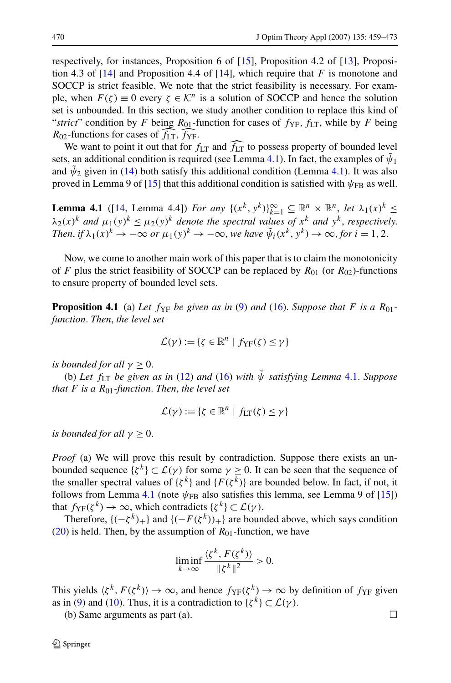<span id="page-11-0"></span>respectively, for instances, Proposition 6 of [[15\]](#page-14-0), Proposition 4.2 of [\[13](#page-14-0)], Proposition 4.3 of [[14\]](#page-14-0) and Proposition 4.4 of [\[14](#page-14-0)], which require that *F* is monotone and SOCCP is strict feasible. We note that the strict feasibility is necessary. For example, when  $F(\zeta) \equiv 0$  every  $\zeta \in \mathcal{K}^n$  is a solution of SOCCP and hence the solution set is unbounded. In this section, we study another condition to replace this kind of "*strict*" condition by *F* being  $R_{01}$ -function for cases of  $f_{YF}$ ,  $f_{LT}$ , while by *F* being  $R_{02}$ -functions for cases of  $f_{LT}$ ,  $f_{YF}$ .

We want to point it out that for  $f_{LT}$  and  $\widehat{f_{LT}}$  to possess property of bounded level sets, an additional condition is required (see Lemma 4.1). In fact, the examples of  $\tilde{\psi}_1$   $\tilde{\psi}_2$ and  $\psi_2$  given in ([14\)](#page-2-0) both satisfy this additional condition (Lemma 4.1). It was also proved in Lemma 9 of [[15\]](#page-14-0) that this additional condition is satisfied with  $\psi_{\text{FB}}$  as well.

**Lemma 4.1** ([[14,](#page-14-0) Lemma 4.4]) *For any*  $\{(x^k, y^k)\}_{k=1}^{\infty} \subseteq \mathbb{R}^n \times \mathbb{R}^n$ , *let*  $\lambda_1(x)^k \le$  $\lambda_2(x)^k$  *and*  $\mu_1(y)^k \leq \mu_2(y)^k$  *denote the spectral values of*  $x^k$  *and*  $y^k$ , *respectively. Then, if*  $\lambda_1(x)^k \to -\infty$  *or*  $\mu_1(y)^k \to -\infty$ , we have  $\tilde{\psi}_i(x^k, y^k) \to \infty$ , for  $i = 1, 2$ .

Now, we come to another main work of this paper that is to claim the monotonicity of *F* plus the strict feasibility of SOCCP can be replaced by  $R_{01}$  (or  $R_{02}$ )-functions to ensure property of bounded level sets.

**Proposition 4.1** (a) Let  $f_{YF}$  be given as in ([9\)](#page-2-0) and ([16\)](#page-3-0). Suppose that F is a  $R_{01}$ *function*. *Then*, *the level set*

$$
\mathcal{L}(\gamma) := \{ \zeta \in \mathbb{R}^n \mid f_{\mathrm{YF}}(\zeta) \leq \gamma \}
$$

*is bounded for all*  $\gamma \geq 0$ .

(b) *Let f*LT *be given as in* [\(12](#page-2-0)) *and* [\(16](#page-3-0)) *with ψ*˜ *satisfying Lemma* 4.1. *Suppose that*  $F$  *is a*  $R_{01}$ *-function. Then, the level set* 

$$
\mathcal{L}(\gamma) := \{ \zeta \in \mathbb{R}^n \mid f_{\text{LT}}(\zeta) \le \gamma \}
$$

*is bounded for all*  $\gamma \geq 0$ .

*Proof* (a) We will prove this result by contradiction. Suppose there exists an unbounded sequence  $\{\zeta^k\} \subset \mathcal{L}(\gamma)$  for some  $\gamma \geq 0$ . It can be seen that the sequence of the smaller spectral values of  $\{\zeta^k\}$  and  $\{F(\zeta^k)\}$  are bounded below. In fact, if not, it follows from Lemma 4.1 (note  $\psi_{FB}$  also satisfies this lemma, see Lemma 9 of [[15\]](#page-14-0)) that  $f_{\rm YF}(\zeta^k) \to \infty$ , which contradicts  $\{\zeta^k\} \subset \mathcal{L}(\gamma)$ .

Therefore,  ${(-\zeta^k)_+}$  and  ${(-F(\zeta^k))_+}$  are bounded above, which says condition [\(20](#page-6-0)) is held. Then, by the assumption of  $R_{01}$ -function, we have

$$
\liminf_{k \to \infty} \frac{\langle \zeta^k, F(\zeta^k) \rangle}{\|\zeta^k\|^2} > 0.
$$

This yields  $\langle \zeta^k, F(\zeta^k) \rangle \to \infty$ , and hence  $f_{YF}(\zeta^k) \to \infty$  by definition of  $f_{YF}$  given as in [\(9](#page-2-0)) and [\(10](#page-2-0)). Thus, it is a contradiction to  $\{\zeta^k\} \subset \mathcal{L}(\gamma)$ .

(b) Same arguments as part (a).  $\Box$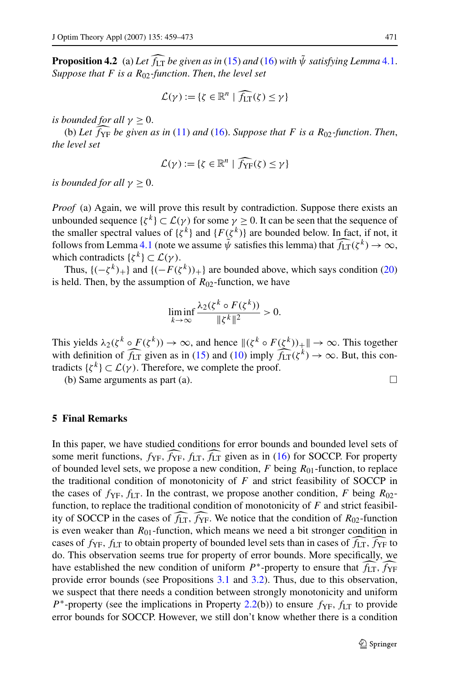<span id="page-12-0"></span>**Proposition 4.2** (a) Let  $\widehat{f_{LT}}$  be given as in ([15\)](#page-3-0) and ([16\)](#page-3-0) with  $\tilde{\psi}$  satisfying Lemma [4.1](#page-11-0). -*Suppose that F is a R*02*-function*. *Then*, *the level set*

$$
\mathcal{L}(\gamma) := \{ \zeta \in \mathbb{R}^n \mid \widehat{f_{LT}}(\zeta) \leq \gamma \}
$$

*is bounded for all*  $\gamma \geq 0$ .

(b) *Let f* YF *be given as in* ([11\)](#page-2-0) *and* ([16\)](#page-3-0). *Suppose that F is a R*02*-function*. *Then*, -*the level set*

$$
\mathcal{L}(\gamma) := \{ \zeta \in \mathbb{R}^n \mid \widehat{f_{\mathrm{YF}}}(\zeta) \leq \gamma \}
$$

*is bounded for all*  $\gamma \geq 0$ .

*Proof* (a) Again, we will prove this result by contradiction. Suppose there exists an unbounded sequence  $\{\zeta^k\} \subset \mathcal{L}(\gamma)$  for some  $\gamma \geq 0$ . It can be seen that the sequence of the smaller spectral values of  $\{ \zeta^k \}$  and  $\{ F(\zeta^k) \}$  are bounded below. In fact, if not, it follows from Lemma [4.1](#page-11-0) (note we assume  $\tilde{\psi}$  satisfies this lemma) that  $\widehat{f_{LT}}(\zeta^k) \to \infty$ , which contradicts  $\{\zeta^k\} \subset \mathcal{L}(\gamma)$ .

Thus,  ${(-\zeta^k)_+}$  and  ${(-F(\zeta^k))_+}$  are bounded above, which says condition [\(20](#page-6-0)) is held. Then, by the assumption of  $R_{02}$ -function, we have

$$
\liminf_{k \to \infty} \frac{\lambda_2(\zeta^k \circ F(\zeta^k))}{\|\zeta^k\|^2} > 0.
$$

This yields  $\lambda_2(\zeta^k \circ F(\zeta^k)) \to \infty$ , and hence  $\|(\zeta^k \circ F(\zeta^k))_+\| \to \infty$ . This together with definition of  $\widehat{f_{LT}}$  given as in ([15\)](#page-3-0) and ([10\)](#page-2-0) imply  $\widehat{f_{LT}}(\zeta^k) \to \infty$ . But, this contradicts  $\{ \zeta^k \} \subset \mathcal{L}(\gamma)$ . Therefore, we complete the proof.

(b) Same arguments as part (a).  $\Box$ 

## **5 Final Remarks**

In this paper, we have studied conditions for error bounds and bounded level sets of some merit functions,  $f_{YF}$ ,  $f_{YF}$ ,  $f_{LT}$ ,  $f_{LT}$  given as in ([16\)](#page-3-0) for SOCCP. For property of bounded level sets, we propose a new condition, *F* being  $R_{01}$ -function, to replace the traditional condition of monotonicity of *F* and strict feasibility of SOCCP in the cases of  $f_{YF}$ ,  $f_{LT}$ . In the contrast, we propose another condition, *F* being  $R_{02}$ function, to replace the traditional condition of monotonicity of *F* and strict feasibility of SOCCP in the cases of *f* LT*, f* YF. We notice that the condition of *R*02-function is even weaker than  $R_{01}$ -function, which means we need a bit stronger condition in cases of *f*YF*,f*LT to obtain property of bounded level sets than in cases of *f* LT*, f* YF to do. This observation seems true for property of error bounds. More specifically, we do. This observation seems true for property of error bounds. More specifically, we have established the new condition of uniform  $P^*$ -property to ensure that  $\widehat{f_{LT}}, \widehat{f_{YF}}$ provide error bounds (see Propositions  $3.1$  and  $3.2$ ). Thus, due to this observation, we suspect that there needs a condition between strongly monotonicity and uniform *P*<sup>∗</sup>-property (see the implications in Property [2.2\(](#page-6-0)b)) to ensure *f*<sub>YF</sub>, *f*<sub>LT</sub> to provide error bounds for SOCCP. However, we still don't know whether there is a condition

 $\mathcal{D}$  Springer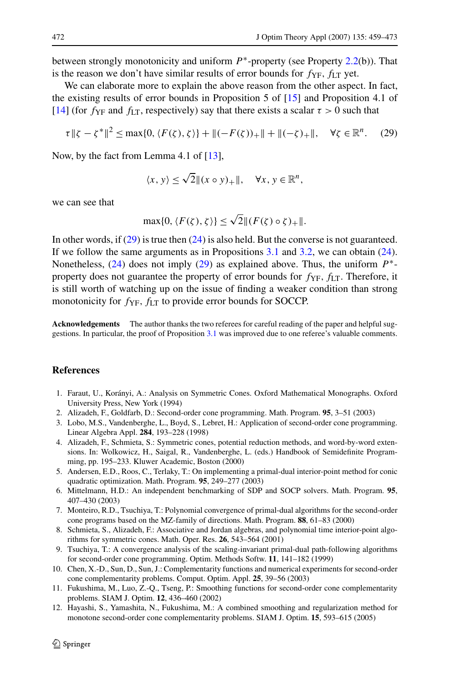<span id="page-13-0"></span>between strongly monotonicity and uniform *P*∗-property (see Property [2.2](#page-6-0)(b)). That is the reason we don't have similar results of error bounds for  $f_{YF}$ ,  $f_{LT}$  yet.

We can elaborate more to explain the above reason from the other aspect. In fact, the existing results of error bounds in Proposition 5 of [\[15\]](#page-14-0) and Proposition 4.1 of [\[14](#page-14-0)] (for  $f_{YF}$  and  $f_{LT}$ , respectively) say that there exists a scalar  $\tau > 0$  such that

$$
\tau \| \zeta - \zeta^* \|^2 \le \max\{0, \langle F(\zeta), \zeta \rangle\} + \| (-F(\zeta))_+ \| + \| (-\zeta)_+ \|, \quad \forall \zeta \in \mathbb{R}^n. \tag{29}
$$

Now, by the fact from Lemma 4.1 of [[13\]](#page-14-0),

$$
\langle x, y \rangle \le \sqrt{2} \|(x \circ y)_+\|, \quad \forall x, y \in \mathbb{R}^n,
$$

we can see that

$$
\max\{0, \langle F(\zeta), \zeta \rangle\} \le \sqrt{2} \|(F(\zeta) \circ \zeta)_+\|.
$$

In other words, if  $(29)$  is true then  $(24)$  $(24)$  is also held. But the converse is not guaranteed. If we follow the same arguments as in Propositions [3.1](#page-7-0) and [3.2,](#page-10-0) we can obtain ([24\)](#page-8-0). Nonetheless, ([24\)](#page-8-0) does not imply (29) as explained above. Thus, the uniform *P*∗ property does not guarantee the property of error bounds for  $f_{YF}$ ,  $f_{LT}$ . Therefore, it is still worth of watching up on the issue of finding a weaker condition than strong monotonicity for  $f_{YF}$ ,  $f_{LT}$  to provide error bounds for SOCCP.

**Acknowledgements** The author thanks the two referees for careful reading of the paper and helpful suggestions. In particular, the proof of Proposition [3.1](#page-7-0) was improved due to one referee's valuable comments.

## **References**

- 1. Faraut, U., Korányi, A.: Analysis on Symmetric Cones. Oxford Mathematical Monographs. Oxford University Press, New York (1994)
- 2. Alizadeh, F., Goldfarb, D.: Second-order cone programming. Math. Program. **95**, 3–51 (2003)
- 3. Lobo, M.S., Vandenberghe, L., Boyd, S., Lebret, H.: Application of second-order cone programming. Linear Algebra Appl. **284**, 193–228 (1998)
- 4. Alizadeh, F., Schmieta, S.: Symmetric cones, potential reduction methods, and word-by-word extensions. In: Wolkowicz, H., Saigal, R., Vandenberghe, L. (eds.) Handbook of Semidefinite Programming, pp. 195–233. Kluwer Academic, Boston (2000)
- 5. Andersen, E.D., Roos, C., Terlaky, T.: On implementing a primal-dual interior-point method for conic quadratic optimization. Math. Program. **95**, 249–277 (2003)
- 6. Mittelmann, H.D.: An independent benchmarking of SDP and SOCP solvers. Math. Program. **95**, 407–430 (2003)
- 7. Monteiro, R.D., Tsuchiya, T.: Polynomial convergence of primal-dual algorithms for the second-order cone programs based on the MZ-family of directions. Math. Program. **88**, 61–83 (2000)
- 8. Schmieta, S., Alizadeh, F.: Associative and Jordan algebras, and polynomial time interior-point algorithms for symmetric cones. Math. Oper. Res. **26**, 543–564 (2001)
- 9. Tsuchiya, T.: A convergence analysis of the scaling-invariant primal-dual path-following algorithms for second-order cone programming. Optim. Methods Softw. **11**, 141–182 (1999)
- 10. Chen, X.-D., Sun, D., Sun, J.: Complementarity functions and numerical experiments for second-order cone complementarity problems. Comput. Optim. Appl. **25**, 39–56 (2003)
- 11. Fukushima, M., Luo, Z.-Q., Tseng, P.: Smoothing functions for second-order cone complementarity problems. SIAM J. Optim. **12**, 436–460 (2002)
- 12. Hayashi, S., Yamashita, N., Fukushima, M.: A combined smoothing and regularization method for monotone second-order cone complementarity problems. SIAM J. Optim. **15**, 593–615 (2005)